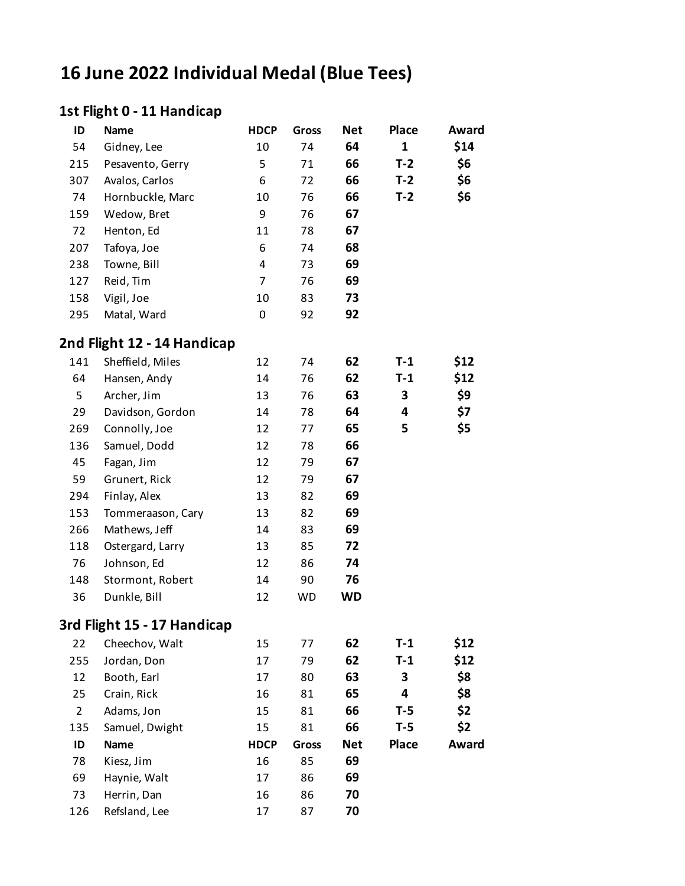# **16 June 2022 Individual Medal (Blue Tees)**

### **1st Flight 0 - 11 Handicap**

| ID             | Name                        | <b>HDCP</b>    | <b>Gross</b> | <b>Net</b> | <b>Place</b> | Award |
|----------------|-----------------------------|----------------|--------------|------------|--------------|-------|
| 54             | Gidney, Lee                 | 10             | 74           | 64         | $\mathbf{1}$ | \$14  |
| 215            | Pesavento, Gerry            | 5              | 71           | 66         | $T-2$        | \$6   |
| 307            | Avalos, Carlos              | 6              | 72           | 66         | $T-2$        | \$6   |
| 74             | Hornbuckle, Marc            | 10             | 76           | 66         | $T-2$        | \$6   |
| 159            | Wedow, Bret                 | 9              | 76           | 67         |              |       |
| 72             | Henton, Ed                  | 11             | 78           | 67         |              |       |
| 207            | Tafoya, Joe                 | 6              | 74           | 68         |              |       |
| 238            | Towne, Bill                 | 4              | 73           | 69         |              |       |
| 127            | Reid, Tim                   | $\overline{7}$ | 76           | 69         |              |       |
| 158            | Vigil, Joe                  | 10             | 83           | 73         |              |       |
| 295            | Matal, Ward                 | 0              | 92           | 92         |              |       |
|                | 2nd Flight 12 - 14 Handicap |                |              |            |              |       |
| 141            | Sheffield, Miles            | 12             | 74           | 62         | $T-1$        | \$12  |
| 64             | Hansen, Andy                | 14             | 76           | 62         | $T-1$        | \$12  |
| 5              | Archer, Jim                 | 13             | 76           | 63         | 3            | \$9   |
| 29             | Davidson, Gordon            | 14             | 78           | 64         | 4            | \$7   |
| 269            | Connolly, Joe               | 12             | 77           | 65         | 5            | \$5   |
| 136            | Samuel, Dodd                | 12             | 78           | 66         |              |       |
| 45             | Fagan, Jim                  | 12             | 79           | 67         |              |       |
| 59             | Grunert, Rick               | 12             | 79           | 67         |              |       |
| 294            | Finlay, Alex                | 13             | 82           | 69         |              |       |
| 153            | Tommeraason, Cary           | 13             | 82           | 69         |              |       |
| 266            | Mathews, Jeff               | 14             | 83           | 69         |              |       |
| 118            | Ostergard, Larry            | 13             | 85           | 72         |              |       |
| 76             | Johnson, Ed                 | 12             | 86           | 74         |              |       |
| 148            | Stormont, Robert            | 14             | 90           | 76         |              |       |
| 36             | Dunkle, Bill                | 12             | <b>WD</b>    | <b>WD</b>  |              |       |
|                | 3rd Flight 15 - 17 Handicap |                |              |            |              |       |
| 22             | Cheechov, Walt              | 15             | 77           | 62         | $T-1$        | \$12  |
| 255            | Jordan, Don                 | 17             | 79           | 62         | $T-1$        | \$12  |
| 12             | Booth, Earl                 | 17             | 80           | 63         | 3            | \$8   |
| 25             | Crain, Rick                 | 16             | 81           | 65         | 4            | \$8   |
| $\overline{2}$ | Adams, Jon                  | 15             | 81           | 66         | $T-5$        | \$2   |
| 135            | Samuel, Dwight              | 15             | 81           | 66         | $T-5$        | \$2   |
| ID             | Name                        | <b>HDCP</b>    | <b>Gross</b> | <b>Net</b> | <b>Place</b> | Award |
| 78             | Kiesz, Jim                  | 16             | 85           | 69         |              |       |
| 69             | Haynie, Walt                | 17             | 86           | 69         |              |       |
| 73             | Herrin, Dan                 | 16             | 86           | 70         |              |       |
| 126            | Refsland, Lee               | 17             | 87           | 70         |              |       |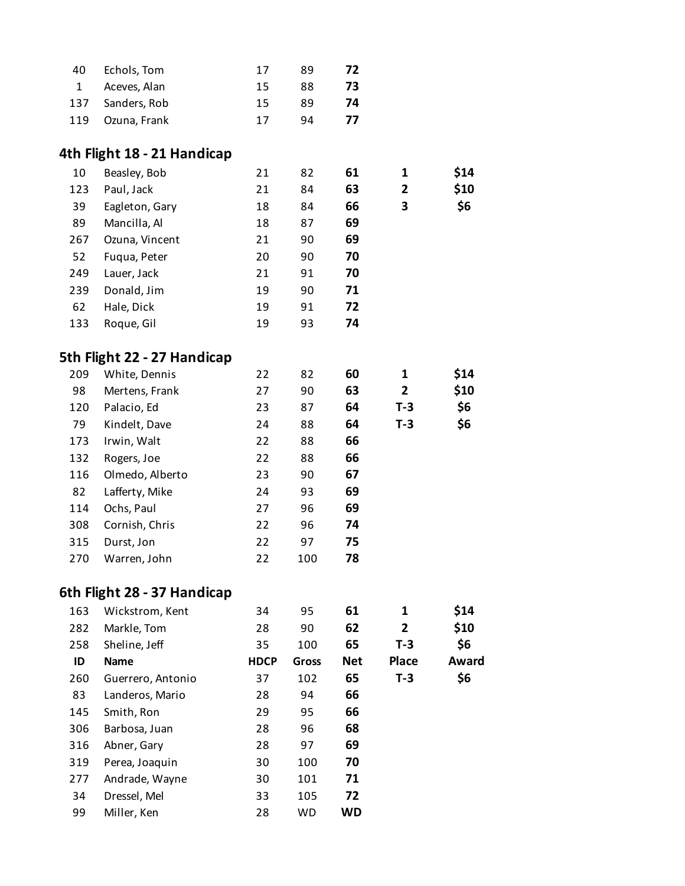| 40  | Echols, Tom      | 17 | 89 | 72 |
|-----|------------------|----|----|----|
| 1   | Aceves, Alan     | 15 | 88 | 73 |
|     | 137 Sanders, Rob | 15 | 89 | 74 |
| 119 | Ozuna, Frank     | 17 | 94 | 77 |
|     |                  |    |    |    |

### **4th Flight 18 - 21 Handicap**

| 10  | Beasley, Bob   | 21 | 82 | 61 | 1 | \$14 |
|-----|----------------|----|----|----|---|------|
| 123 | Paul, Jack     | 21 | 84 | 63 | 2 | \$10 |
| 39  | Eagleton, Gary | 18 | 84 | 66 | 3 | \$6  |
| 89  | Mancilla, Al   | 18 | 87 | 69 |   |      |
| 267 | Ozuna, Vincent | 21 | 90 | 69 |   |      |
| 52  | Fuqua, Peter   | 20 | 90 | 70 |   |      |
| 249 | Lauer, Jack    | 21 | 91 | 70 |   |      |
| 239 | Donald, Jim    | 19 | 90 | 71 |   |      |
| 62  | Hale, Dick     | 19 | 91 | 72 |   |      |
| 133 | Roque, Gil     | 19 | 93 | 74 |   |      |

### **5th Flight 22 - 27 Handicap**

| 209 | White, Dennis   | 22 | 82  | 60 | 1     | \$14 |
|-----|-----------------|----|-----|----|-------|------|
| 98  | Mertens, Frank  | 27 | 90  | 63 | 2     | \$10 |
| 120 | Palacio, Ed     | 23 | 87  | 64 | $T-3$ | \$6  |
| 79  | Kindelt, Dave   | 24 | 88  | 64 | $T-3$ | \$6  |
| 173 | Irwin, Walt     | 22 | 88  | 66 |       |      |
| 132 | Rogers, Joe     | 22 | 88  | 66 |       |      |
| 116 | Olmedo, Alberto | 23 | 90  | 67 |       |      |
| 82  | Lafferty, Mike  | 24 | 93  | 69 |       |      |
| 114 | Ochs, Paul      | 27 | 96  | 69 |       |      |
| 308 | Cornish, Chris  | 22 | 96  | 74 |       |      |
| 315 | Durst, Jon      | 22 | 97  | 75 |       |      |
| 270 | Warren, John    | 22 | 100 | 78 |       |      |

#### **6th Flight 28 - 37 Handicap**

| 163 | Wickstrom, Kent   | 34          | 95        | 61         | 1            | \$14  |
|-----|-------------------|-------------|-----------|------------|--------------|-------|
| 282 | Markle, Tom       | 28          | 90        | 62         | 2            | \$10  |
| 258 | Sheline, Jeff     | 35          | 100       | 65         | $T-3$        | \$6   |
| ID  | <b>Name</b>       | <b>HDCP</b> | Gross     | <b>Net</b> | <b>Place</b> | Award |
| 260 | Guerrero, Antonio | 37          | 102       | 65         | $T-3$        | \$6   |
| 83  | Landeros, Mario   | 28          | 94        | 66         |              |       |
| 145 | Smith, Ron        | 29          | 95        | 66         |              |       |
| 306 | Barbosa, Juan     | 28          | 96        | 68         |              |       |
| 316 | Abner, Gary       | 28          | 97        | 69         |              |       |
| 319 | Perea, Joaquin    | 30          | 100       | 70         |              |       |
| 277 | Andrade, Wayne    | 30          | 101       | 71         |              |       |
| 34  | Dressel, Mel      | 33          | 105       | 72         |              |       |
| 99  | Miller, Ken       | 28          | <b>WD</b> | WD         |              |       |